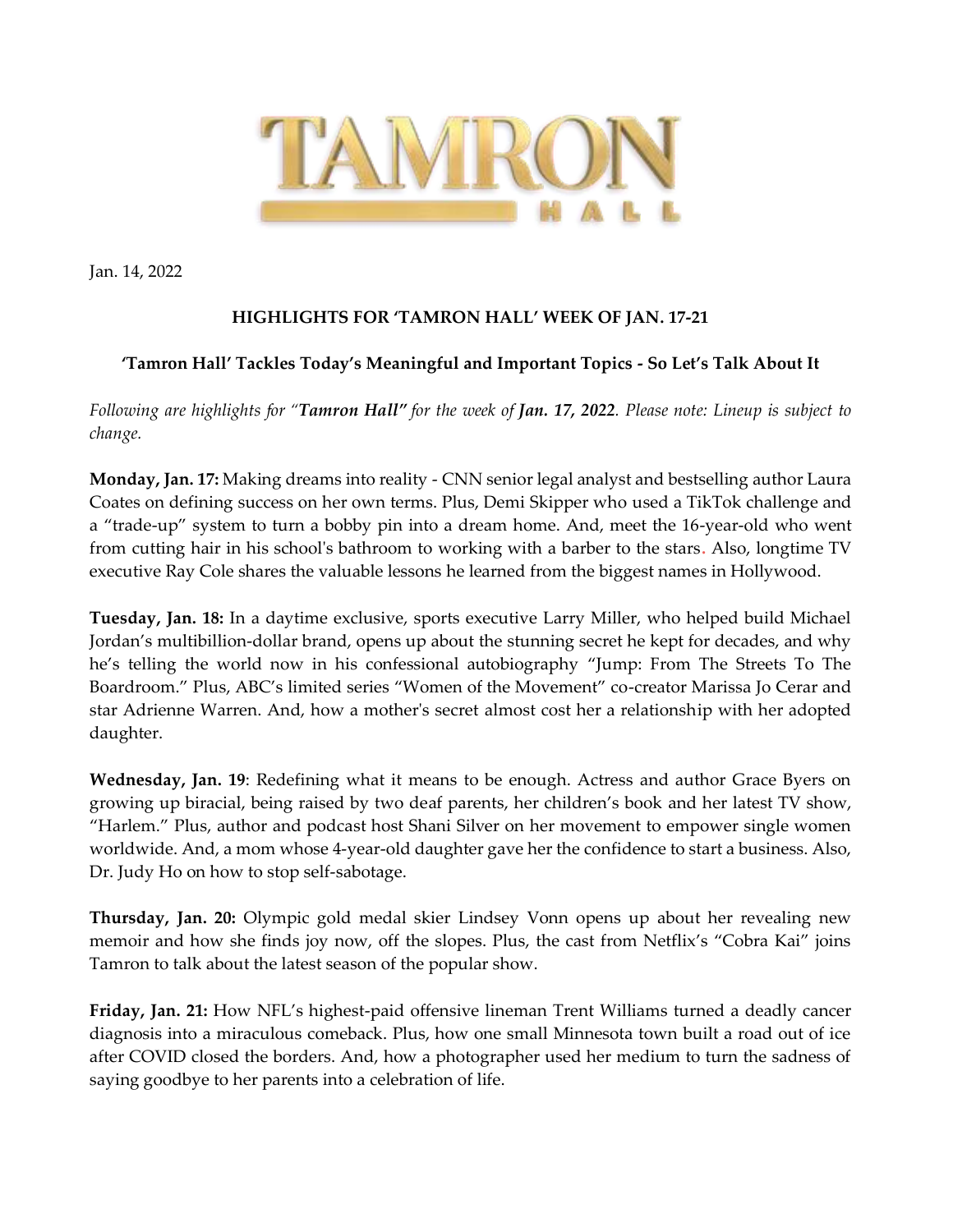

Jan. 14, 2022

## **HIGHLIGHTS FOR 'TAMRON HALL' WEEK OF JAN. 17-21**

## **'Tamron Hall' Tackles Today's Meaningful and Important Topics - So Let's Talk About It**

*Following are highlights for "Tamron Hall" for the week of Jan. 17, 2022. Please note: Lineup is subject to change.* 

**Monday, Jan. 17:** Making dreams into reality - CNN senior legal analyst and bestselling author Laura Coates on defining success on her own terms. Plus, Demi Skipper who used a TikTok challenge and a "trade-up" system to turn a bobby pin into a dream home. And, meet the 16-year-old who went from cutting hair in his school's bathroom to working with a barber to the stars**.** Also, longtime TV executive Ray Cole shares the valuable lessons he learned from the biggest names in Hollywood.

**Tuesday, Jan. 18:** In a daytime exclusive, sports executive Larry Miller, who helped build Michael Jordan's multibillion-dollar brand, opens up about the stunning secret he kept for decades, and why he's telling the world now in his confessional autobiography "Jump: From The Streets To The Boardroom." Plus, ABC's limited series "Women of the Movement" co-creator Marissa Jo Cerar and star Adrienne Warren. And, how a mother's secret almost cost her a relationship with her adopted daughter.

**Wednesday, Jan. 19**: Redefining what it means to be enough. Actress and author Grace Byers on growing up biracial, being raised by two deaf parents, her children's book and her latest TV show, "Harlem." Plus, author and podcast host Shani Silver on her movement to empower single women worldwide. And, a mom whose 4-year-old daughter gave her the confidence to start a business. Also, Dr. Judy Ho on how to stop self-sabotage.

**Thursday, Jan. 20:** Olympic gold medal skier Lindsey Vonn opens up about her revealing new memoir and how she finds joy now, off the slopes. Plus, the cast from Netflix's "Cobra Kai" joins Tamron to talk about the latest season of the popular show.

**Friday, Jan. 21:** How NFL's highest-paid offensive lineman Trent Williams turned a deadly cancer diagnosis into a miraculous comeback. Plus, how one small Minnesota town built a road out of ice after COVID closed the borders. And, how a photographer used her medium to turn the sadness of saying goodbye to her parents into a celebration of life.